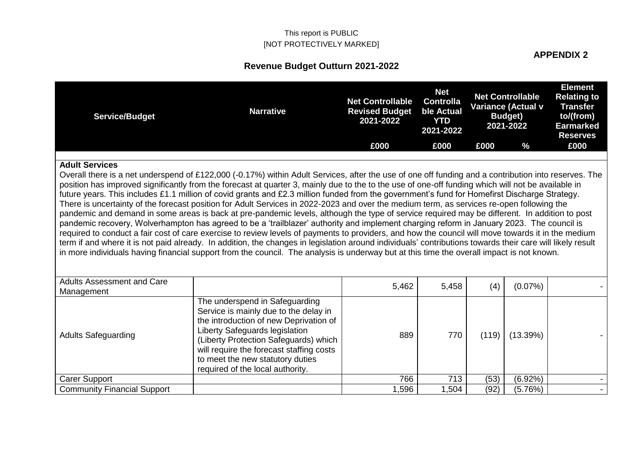#### **APPENDIX 2**

| <b>Service/Budget</b>                           | <b>Narrative</b>                                                                                                                                                                                                                                                                                                                                                                                                                                                                                                                                                                                                                                                                                                                                                                                                                                                                                                                                                                                                                                                                                                                                                                                                                                                                                                                                                       | <b>Net Controllable</b><br><b>Revised Budget</b><br>2021-2022 | <b>Net</b><br><b>Controlla</b><br>ble Actual<br><b>YTD</b><br>2021-2022 |       | <b>Net Controllable</b><br>Variance (Actual v<br><b>Budget</b> )<br>2021-2022 | <b>Element</b><br><b>Relating to</b><br><b>Transfer</b><br>to/(from)<br><b>Earmarked</b><br><b>Reserves</b> |
|-------------------------------------------------|------------------------------------------------------------------------------------------------------------------------------------------------------------------------------------------------------------------------------------------------------------------------------------------------------------------------------------------------------------------------------------------------------------------------------------------------------------------------------------------------------------------------------------------------------------------------------------------------------------------------------------------------------------------------------------------------------------------------------------------------------------------------------------------------------------------------------------------------------------------------------------------------------------------------------------------------------------------------------------------------------------------------------------------------------------------------------------------------------------------------------------------------------------------------------------------------------------------------------------------------------------------------------------------------------------------------------------------------------------------------|---------------------------------------------------------------|-------------------------------------------------------------------------|-------|-------------------------------------------------------------------------------|-------------------------------------------------------------------------------------------------------------|
|                                                 |                                                                                                                                                                                                                                                                                                                                                                                                                                                                                                                                                                                                                                                                                                                                                                                                                                                                                                                                                                                                                                                                                                                                                                                                                                                                                                                                                                        | £000                                                          | £000                                                                    | £000  | %                                                                             | £000                                                                                                        |
| <b>Adult Services</b>                           | Overall there is a net underspend of £122,000 (-0.17%) within Adult Services, after the use of one off funding and a contribution into reserves. The<br>position has improved significantly from the forecast at quarter 3, mainly due to the to the use of one-off funding which will not be available in<br>future years. This includes £1.1 million of covid grants and £2.3 million funded from the government's fund for Homefirst Discharge Strategy.<br>There is uncertainty of the forecast position for Adult Services in 2022-2023 and over the medium term, as services re-open following the<br>pandemic and demand in some areas is back at pre-pandemic levels, although the type of service required may be different. In addition to post<br>pandemic recovery, Wolverhampton has agreed to be a 'trailblazer' authority and implement charging reform in January 2023. The council is<br>required to conduct a fair cost of care exercise to review levels of payments to providers, and how the council will move towards it in the medium<br>term if and where it is not paid already. In addition, the changes in legislation around individuals' contributions towards their care will likely result<br>in more individuals having financial support from the council. The analysis is underway but at this time the overall impact is not known. |                                                               |                                                                         |       |                                                                               |                                                                                                             |
| <b>Adults Assessment and Care</b><br>Management |                                                                                                                                                                                                                                                                                                                                                                                                                                                                                                                                                                                                                                                                                                                                                                                                                                                                                                                                                                                                                                                                                                                                                                                                                                                                                                                                                                        | 5,462                                                         | 5,458                                                                   | (4)   | $(0.07\%)$                                                                    |                                                                                                             |
| <b>Adults Safeguarding</b>                      | The underspend in Safeguarding<br>Service is mainly due to the delay in<br>the introduction of new Deprivation of<br>Liberty Safeguards legislation<br>(Liberty Protection Safeguards) which<br>will require the forecast staffing costs<br>to meet the new statutory duties<br>required of the local authority.                                                                                                                                                                                                                                                                                                                                                                                                                                                                                                                                                                                                                                                                                                                                                                                                                                                                                                                                                                                                                                                       | 889                                                           | 770                                                                     | (119) | (13.39%)                                                                      |                                                                                                             |
| <b>Carer Support</b>                            |                                                                                                                                                                                                                                                                                                                                                                                                                                                                                                                                                                                                                                                                                                                                                                                                                                                                                                                                                                                                                                                                                                                                                                                                                                                                                                                                                                        | 766                                                           | 713                                                                     | (53)  | $(6.92\%)$                                                                    |                                                                                                             |
| <b>Community Financial Support</b>              |                                                                                                                                                                                                                                                                                                                                                                                                                                                                                                                                                                                                                                                                                                                                                                                                                                                                                                                                                                                                                                                                                                                                                                                                                                                                                                                                                                        | 1,596                                                         | 1,504                                                                   | (92)  | (5.76%)                                                                       |                                                                                                             |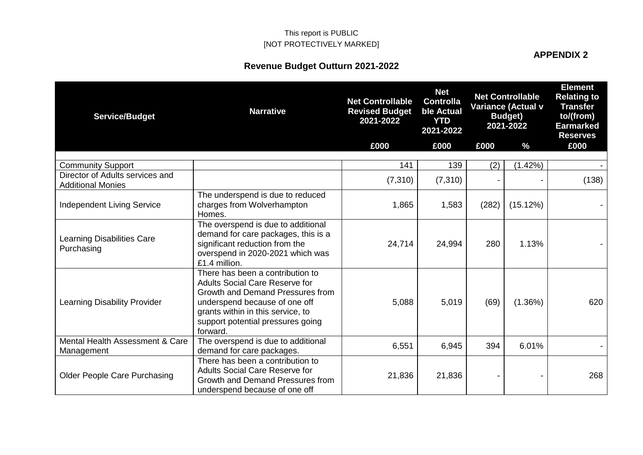# **Revenue Budget Outturn 2021-2022**

**APPENDIX 2**

| <b>Service/Budget</b>                                       | <b>Narrative</b>                                                                                                                                                                                                                     | <b>Net Controllable</b><br><b>Revised Budget</b><br>2021-2022 | <b>Net</b><br><b>Controlla</b><br>ble Actual<br><b>YTD</b><br>2021-2022 |       | <b>Net Controllable</b><br><b>Variance (Actual v</b><br><b>Budget</b> )<br>2021-2022 | <b>Element</b><br><b>Relating to</b><br><b>Transfer</b><br>to/(from)<br><b>Earmarked</b><br><b>Reserves</b> |
|-------------------------------------------------------------|--------------------------------------------------------------------------------------------------------------------------------------------------------------------------------------------------------------------------------------|---------------------------------------------------------------|-------------------------------------------------------------------------|-------|--------------------------------------------------------------------------------------|-------------------------------------------------------------------------------------------------------------|
|                                                             |                                                                                                                                                                                                                                      | £000                                                          | £000                                                                    | £000  | %                                                                                    | £000                                                                                                        |
| <b>Community Support</b>                                    |                                                                                                                                                                                                                                      | 141                                                           | 139                                                                     | (2)   | (1.42%)                                                                              |                                                                                                             |
| Director of Adults services and<br><b>Additional Monies</b> |                                                                                                                                                                                                                                      | (7, 310)                                                      | (7, 310)                                                                |       |                                                                                      | (138)                                                                                                       |
| <b>Independent Living Service</b>                           | The underspend is due to reduced<br>charges from Wolverhampton<br>Homes.                                                                                                                                                             | 1,865                                                         | 1,583                                                                   | (282) | (15.12%)                                                                             |                                                                                                             |
| <b>Learning Disabilities Care</b><br>Purchasing             | The overspend is due to additional<br>demand for care packages, this is a<br>significant reduction from the<br>overspend in 2020-2021 which was<br>£1.4 million.                                                                     | 24,714                                                        | 24,994                                                                  | 280   | 1.13%                                                                                |                                                                                                             |
| Learning Disability Provider                                | There has been a contribution to<br><b>Adults Social Care Reserve for</b><br>Growth and Demand Pressures from<br>underspend because of one off<br>grants within in this service, to<br>support potential pressures going<br>forward. | 5,088                                                         | 5,019                                                                   | (69)  | (1.36%)                                                                              | 620                                                                                                         |
| Mental Health Assessment & Care<br>Management               | The overspend is due to additional<br>demand for care packages.                                                                                                                                                                      | 6,551                                                         | 6,945                                                                   | 394   | 6.01%                                                                                |                                                                                                             |
| <b>Older People Care Purchasing</b>                         | There has been a contribution to<br><b>Adults Social Care Reserve for</b><br>Growth and Demand Pressures from<br>underspend because of one off                                                                                       | 21,836                                                        | 21,836                                                                  |       |                                                                                      | 268                                                                                                         |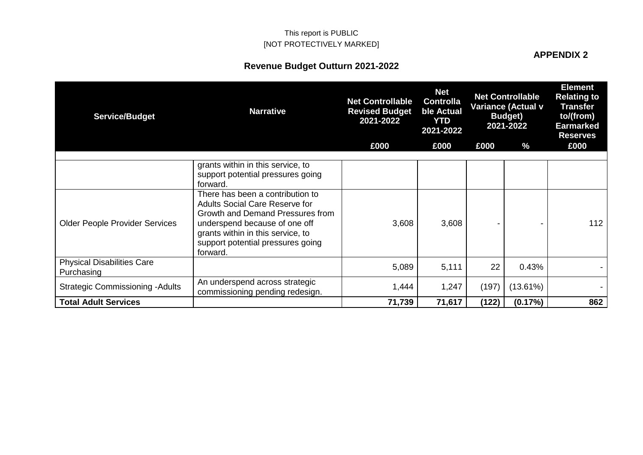# **Revenue Budget Outturn 2021-2022**

| <b>Service/Budget</b>                           | <b>Narrative</b>                                                                                                                                                                                                                                                          | <b>Net Controllable</b><br><b>Revised Budget</b><br>2021-2022 | <b>Net</b><br><b>Controlla</b><br>ble Actual<br><b>YTD</b><br>2021-2022 |       | <b>Net Controllable</b><br><b>Variance (Actual v</b><br><b>Budget</b> )<br>2021-2022 | <b>Element</b><br><b>Relating to</b><br><b>Transfer</b><br>to/(from)<br><b>Earmarked</b><br><b>Reserves</b> |
|-------------------------------------------------|---------------------------------------------------------------------------------------------------------------------------------------------------------------------------------------------------------------------------------------------------------------------------|---------------------------------------------------------------|-------------------------------------------------------------------------|-------|--------------------------------------------------------------------------------------|-------------------------------------------------------------------------------------------------------------|
|                                                 |                                                                                                                                                                                                                                                                           | £000                                                          | £000                                                                    | £000  | %                                                                                    | £000                                                                                                        |
| <b>Older People Provider Services</b>           | grants within in this service, to<br>support potential pressures going<br>forward.<br>There has been a contribution to<br><b>Adults Social Care Reserve for</b><br>Growth and Demand Pressures from<br>underspend because of one off<br>grants within in this service, to | 3,608                                                         | 3,608                                                                   |       |                                                                                      | 112                                                                                                         |
|                                                 | support potential pressures going<br>forward.                                                                                                                                                                                                                             |                                                               |                                                                         |       |                                                                                      |                                                                                                             |
| <b>Physical Disabilities Care</b><br>Purchasing |                                                                                                                                                                                                                                                                           | 5,089                                                         | 5,111                                                                   | 22    | 0.43%                                                                                |                                                                                                             |
| <b>Strategic Commissioning - Adults</b>         | An underspend across strategic<br>commissioning pending redesign.                                                                                                                                                                                                         | 1,444                                                         | 1,247                                                                   | (197) | (13.61%)                                                                             |                                                                                                             |
| <b>Total Adult Services</b>                     |                                                                                                                                                                                                                                                                           | 71,739                                                        | 71,617                                                                  | (122) | (0.17%)                                                                              | 862                                                                                                         |

**APPENDIX 2**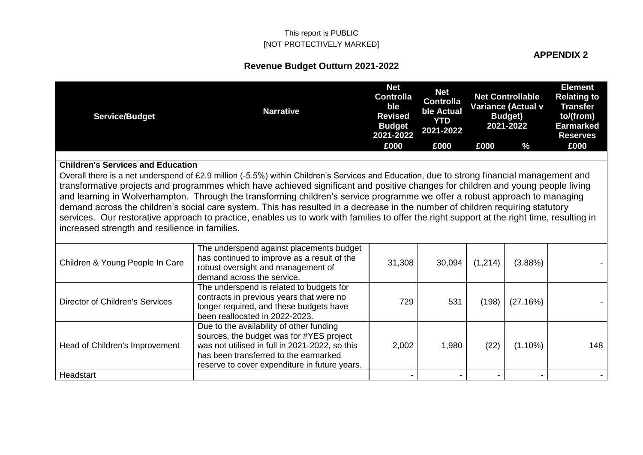### **APPENDIX 2**

| <b>Service/Budget</b>                          | <b>Narrative</b>                                                                                                                                                                                                                                                                                                                                                                                                                                                                                                                                                                                                                                                                               | <b>Net</b><br><b>Controlla</b><br>ble<br><b>Revised</b><br><b>Budget</b><br>2021-2022 | <b>Net</b><br><b>Controlla</b><br>ble Actual<br><b>YTD</b><br>2021-2022 |         | <b>Net Controllable</b><br>Variance (Actual v<br><b>Budget</b> )<br>2021-2022 | <b>Element</b><br><b>Relating to</b><br><b>Transfer</b><br>to/(from)<br><b>Earmarked</b><br><b>Reserves</b> |
|------------------------------------------------|------------------------------------------------------------------------------------------------------------------------------------------------------------------------------------------------------------------------------------------------------------------------------------------------------------------------------------------------------------------------------------------------------------------------------------------------------------------------------------------------------------------------------------------------------------------------------------------------------------------------------------------------------------------------------------------------|---------------------------------------------------------------------------------------|-------------------------------------------------------------------------|---------|-------------------------------------------------------------------------------|-------------------------------------------------------------------------------------------------------------|
|                                                |                                                                                                                                                                                                                                                                                                                                                                                                                                                                                                                                                                                                                                                                                                | £000                                                                                  | £000                                                                    | £000    | $\%$                                                                          | £000                                                                                                        |
| <b>Children's Services and Education</b>       |                                                                                                                                                                                                                                                                                                                                                                                                                                                                                                                                                                                                                                                                                                |                                                                                       |                                                                         |         |                                                                               |                                                                                                             |
| increased strength and resilience in families. | Overall there is a net underspend of £2.9 million (-5.5%) within Children's Services and Education, due to strong financial management and<br>transformative projects and programmes which have achieved significant and positive changes for children and young people living<br>and learning in Wolverhampton. Through the transforming children's service programme we offer a robust approach to managing<br>demand across the children's social care system. This has resulted in a decrease in the number of children requiring statutory<br>services. Our restorative approach to practice, enables us to work with families to offer the right support at the right time, resulting in |                                                                                       |                                                                         |         |                                                                               |                                                                                                             |
| Children & Young People In Care                | The underspend against placements budget<br>has continued to improve as a result of the<br>robust oversight and management of<br>demand across the service.                                                                                                                                                                                                                                                                                                                                                                                                                                                                                                                                    | 31,308                                                                                | 30,094                                                                  | (1,214) | (3.88%)                                                                       |                                                                                                             |
| Director of Children's Services                | The underspend is related to budgets for<br>contracts in previous years that were no<br>longer required, and these budgets have<br>been reallocated in 2022-2023.                                                                                                                                                                                                                                                                                                                                                                                                                                                                                                                              | 729                                                                                   | 531                                                                     | (198)   | (27.16%)                                                                      |                                                                                                             |
| Head of Children's Improvement                 | Due to the availability of other funding<br>sources, the budget was for #YES project<br>was not utilised in full in 2021-2022, so this<br>has been transferred to the earmarked<br>reserve to cover expenditure in future years.                                                                                                                                                                                                                                                                                                                                                                                                                                                               | 2,002                                                                                 | 1,980                                                                   | (22)    | $(1.10\%)$                                                                    | 148                                                                                                         |
| Headstart                                      |                                                                                                                                                                                                                                                                                                                                                                                                                                                                                                                                                                                                                                                                                                |                                                                                       |                                                                         |         |                                                                               |                                                                                                             |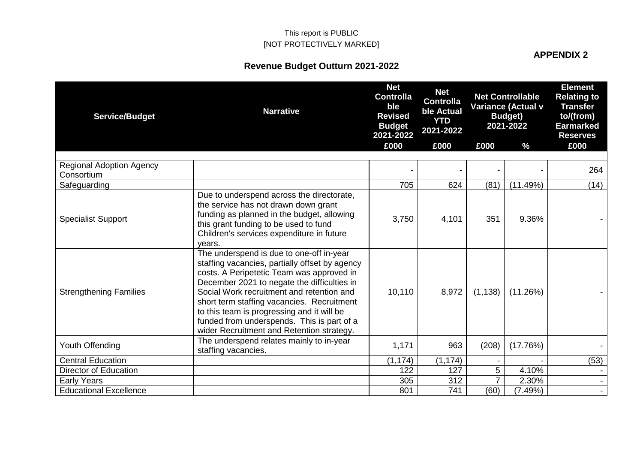# **APPENDIX 2**

| <b>Service/Budget</b>                         | <b>Narrative</b>                                                                                                                                                                                                                                                                                                                                                                                                           | <b>Net</b><br><b>Controlla</b><br>ble<br><b>Revised</b><br><b>Budget</b><br>2021-2022 | <b>Net</b><br><b>Controlla</b><br>ble Actual<br><b>YTD</b><br>2021-2022 |                | <b>Net Controllable</b><br>Variance (Actual v<br><b>Budget</b> )<br>2021-2022 | <b>Element</b><br><b>Relating to</b><br><b>Transfer</b><br>to/(from)<br><b>Earmarked</b><br><b>Reserves</b> |
|-----------------------------------------------|----------------------------------------------------------------------------------------------------------------------------------------------------------------------------------------------------------------------------------------------------------------------------------------------------------------------------------------------------------------------------------------------------------------------------|---------------------------------------------------------------------------------------|-------------------------------------------------------------------------|----------------|-------------------------------------------------------------------------------|-------------------------------------------------------------------------------------------------------------|
|                                               |                                                                                                                                                                                                                                                                                                                                                                                                                            | £000                                                                                  | £000                                                                    | £000           | $\frac{0}{0}$                                                                 | £000                                                                                                        |
| <b>Regional Adoption Agency</b><br>Consortium |                                                                                                                                                                                                                                                                                                                                                                                                                            |                                                                                       |                                                                         |                |                                                                               | 264                                                                                                         |
| Safeguarding                                  |                                                                                                                                                                                                                                                                                                                                                                                                                            | 705                                                                                   | 624                                                                     | (81)           | (11.49%)                                                                      | (14)                                                                                                        |
| <b>Specialist Support</b>                     | Due to underspend across the directorate,<br>the service has not drawn down grant<br>funding as planned in the budget, allowing<br>this grant funding to be used to fund<br>Children's services expenditure in future<br>years.                                                                                                                                                                                            | 3,750                                                                                 | 4,101                                                                   | 351            | 9.36%                                                                         |                                                                                                             |
| <b>Strengthening Families</b>                 | The underspend is due to one-off in-year<br>staffing vacancies, partially offset by agency<br>costs. A Peripetetic Team was approved in<br>December 2021 to negate the difficulties in<br>Social Work recruitment and retention and<br>short term staffing vacancies. Recruitment<br>to this team is progressing and it will be<br>funded from underspends. This is part of a<br>wider Recruitment and Retention strategy. | 10,110                                                                                | 8,972                                                                   | (1, 138)       | (11.26%)                                                                      |                                                                                                             |
| Youth Offending                               | The underspend relates mainly to in-year<br>staffing vacancies.                                                                                                                                                                                                                                                                                                                                                            | 1,171                                                                                 | 963                                                                     | (208)          | (17.76%)                                                                      |                                                                                                             |
| <b>Central Education</b>                      |                                                                                                                                                                                                                                                                                                                                                                                                                            | (1, 174)                                                                              | (1, 174)                                                                |                |                                                                               | (53)                                                                                                        |
| Director of Education                         |                                                                                                                                                                                                                                                                                                                                                                                                                            | 122                                                                                   | 127                                                                     | 5              | 4.10%                                                                         |                                                                                                             |
| <b>Early Years</b>                            |                                                                                                                                                                                                                                                                                                                                                                                                                            | 305                                                                                   | 312                                                                     | $\overline{7}$ | 2.30%                                                                         |                                                                                                             |
| <b>Educational Excellence</b>                 |                                                                                                                                                                                                                                                                                                                                                                                                                            | 801                                                                                   | 741                                                                     | (60)           | (7.49%)                                                                       |                                                                                                             |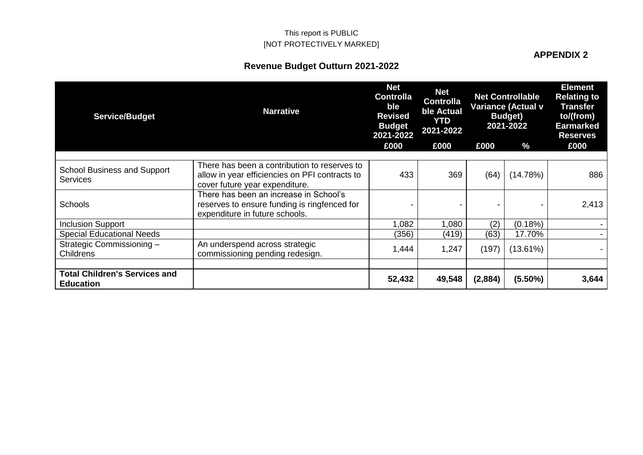#### **APPENDIX 2**

| <b>Service/Budget</b>                                    | <b>Narrative</b>                                                                                                                 | <b>Net</b><br><b>Controlla</b><br>ble<br><b>Revised</b><br><b>Budget</b><br>2021-2022 | <b>Net</b><br><b>Controlla</b><br>ble Actual<br><b>YTD</b><br>2021-2022 |         | <b>Net Controllable</b><br><b>Variance (Actual v</b><br><b>Budget</b> )<br>2021-2022 | <b>Element</b><br><b>Relating to</b><br><b>Transfer</b><br>to/(from)<br><b>Earmarked</b><br><b>Reserves</b> |
|----------------------------------------------------------|----------------------------------------------------------------------------------------------------------------------------------|---------------------------------------------------------------------------------------|-------------------------------------------------------------------------|---------|--------------------------------------------------------------------------------------|-------------------------------------------------------------------------------------------------------------|
|                                                          |                                                                                                                                  | £000                                                                                  | £000                                                                    | £000    | %                                                                                    | £000                                                                                                        |
| <b>School Business and Support</b><br>Services           | There has been a contribution to reserves to<br>allow in year efficiencies on PFI contracts to<br>cover future year expenditure. | 433                                                                                   | 369                                                                     | (64)    | (14.78%)                                                                             | 886                                                                                                         |
| <b>Schools</b>                                           | There has been an increase in School's<br>reserves to ensure funding is ringfenced for<br>expenditure in future schools.         |                                                                                       |                                                                         |         |                                                                                      | 2,413                                                                                                       |
| <b>Inclusion Support</b>                                 |                                                                                                                                  | 1,082                                                                                 | 1,080                                                                   | (2)     | (0.18%)                                                                              |                                                                                                             |
| <b>Special Educational Needs</b>                         |                                                                                                                                  | (356)                                                                                 | (419)                                                                   | (63)    | 17.70%                                                                               |                                                                                                             |
| Strategic Commissioning -<br><b>Childrens</b>            | An underspend across strategic<br>commissioning pending redesign.                                                                | 1,444                                                                                 | 1,247                                                                   | (197)   | (13.61%)                                                                             |                                                                                                             |
| <b>Total Children's Services and</b><br><b>Education</b> |                                                                                                                                  | 52,432                                                                                | 49,548                                                                  | (2,884) | $(5.50\%)$                                                                           | 3,644                                                                                                       |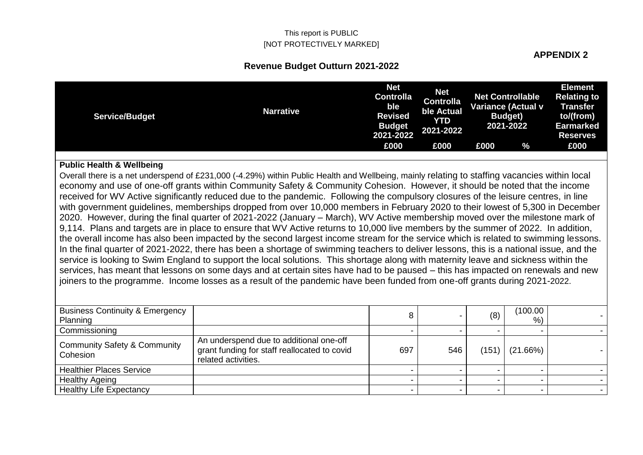**APPENDIX 2**

### **Revenue Budget Outturn 2021-2022**

| <b>Service/Budget</b> | <b>Narrative</b> | <b>Net</b><br><b>Controlla</b><br><b>ble</b><br><b>Revised</b><br><b>Budget</b><br>2021-2022 | <b>Net</b><br><b>Controlla</b><br>ble Actual<br>YTD<br>2021-2022 | Net Controllable | Variance (Actual v<br><b>Budget</b> )<br>2021-2022 | <b>Element</b><br><b>Relating to</b><br><b>Transfer</b><br>to/(from)<br><b>Earmarked</b><br><b>Reserves</b> |
|-----------------------|------------------|----------------------------------------------------------------------------------------------|------------------------------------------------------------------|------------------|----------------------------------------------------|-------------------------------------------------------------------------------------------------------------|
|                       |                  | £000                                                                                         | £000                                                             | £000             | $\%$                                               | £000                                                                                                        |

#### **Public Health & Wellbeing**

Overall there is a net underspend of £231,000 (-4.29%) within Public Health and Wellbeing, mainly relating to staffing vacancies within local economy and use of one-off grants within Community Safety & Community Cohesion. However, it should be noted that the income received for WV Active significantly reduced due to the pandemic. Following the compulsory closures of the leisure centres, in line with government guidelines, memberships dropped from over 10,000 members in February 2020 to their lowest of 5,300 in December 2020. However, during the final quarter of 2021-2022 (January – March), WV Active membership moved over the milestone mark of 9,114. Plans and targets are in place to ensure that WV Active returns to 10,000 live members by the summer of 2022. In addition, the overall income has also been impacted by the second largest income stream for the service which is related to swimming lessons. In the final quarter of 2021-2022, there has been a shortage of swimming teachers to deliver lessons, this is a national issue, and the service is looking to Swim England to support the local solutions. This shortage along with maternity leave and sickness within the services, has meant that lessons on some days and at certain sites have had to be paused – this has impacted on renewals and new joiners to the programme. Income losses as a result of the pandemic have been funded from one-off grants during 2021-2022.

| <b>Business Continuity &amp; Emergency</b><br>Planning |                                                                                                                | 8   |     | (8)   | (100.00<br>$%$ ) |  |
|--------------------------------------------------------|----------------------------------------------------------------------------------------------------------------|-----|-----|-------|------------------|--|
| Commissioning                                          |                                                                                                                |     |     |       |                  |  |
| <b>Community Safety &amp; Community</b><br>Cohesion    | An underspend due to additional one-off<br>grant funding for staff reallocated to covid<br>related activities. | 697 | 546 | (151) | (21.66%)         |  |
| <b>Healthier Places Service</b>                        |                                                                                                                |     |     |       |                  |  |
| <b>Healthy Ageing</b>                                  |                                                                                                                |     |     |       |                  |  |
| <b>Healthy Life Expectancy</b>                         |                                                                                                                |     |     |       |                  |  |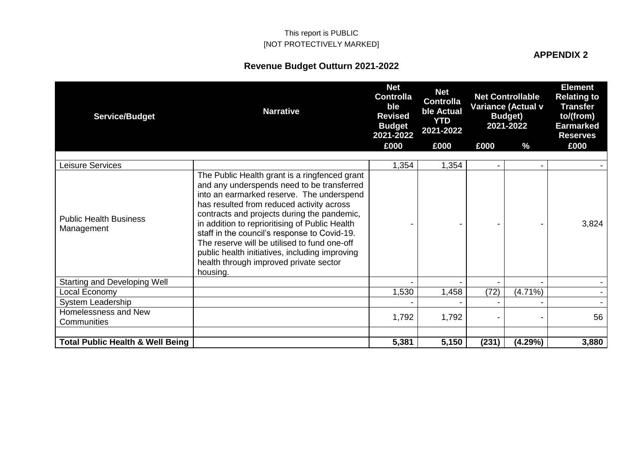# **APPENDIX 2**

| <b>Service/Budget</b>                       | <b>Narrative</b>                                                                                                                                                                                                                                                                                                                                                                                                                                                                               | <b>Net</b><br><b>Controlla</b><br>ble<br><b>Revised</b><br><b>Budget</b><br>2021-2022 | <b>Net</b><br><b>Controlla</b><br>ble Actual<br><b>YTD</b><br>2021-2022 |       | <b>Net Controllable</b><br><b>Variance (Actual v</b><br><b>Budget</b> )<br>2021-2022 | <b>Element</b><br><b>Relating to</b><br><b>Transfer</b><br>to/(from)<br><b>Earmarked</b><br><b>Reserves</b> |
|---------------------------------------------|------------------------------------------------------------------------------------------------------------------------------------------------------------------------------------------------------------------------------------------------------------------------------------------------------------------------------------------------------------------------------------------------------------------------------------------------------------------------------------------------|---------------------------------------------------------------------------------------|-------------------------------------------------------------------------|-------|--------------------------------------------------------------------------------------|-------------------------------------------------------------------------------------------------------------|
|                                             |                                                                                                                                                                                                                                                                                                                                                                                                                                                                                                | £000                                                                                  | £000                                                                    | £000  | $\frac{9}{6}$                                                                        | £000                                                                                                        |
| eisure Services                             |                                                                                                                                                                                                                                                                                                                                                                                                                                                                                                | 1,354                                                                                 | 1,354                                                                   |       |                                                                                      |                                                                                                             |
| <b>Public Health Business</b><br>Management | The Public Health grant is a ringfenced grant<br>and any underspends need to be transferred<br>into an earmarked reserve. The underspend<br>has resulted from reduced activity across<br>contracts and projects during the pandemic,<br>in addition to reprioritising of Public Health<br>staff in the council's response to Covid-19.<br>The reserve will be utilised to fund one-off<br>public health initiatives, including improving<br>health through improved private sector<br>housing. |                                                                                       |                                                                         |       |                                                                                      | 3,824                                                                                                       |
| <b>Starting and Developing Well</b>         |                                                                                                                                                                                                                                                                                                                                                                                                                                                                                                |                                                                                       |                                                                         |       |                                                                                      |                                                                                                             |
| Local Economy                               |                                                                                                                                                                                                                                                                                                                                                                                                                                                                                                | 1,530                                                                                 | 1,458                                                                   | (72)  | $(4.71\%)$                                                                           |                                                                                                             |
| <b>System Leadership</b>                    |                                                                                                                                                                                                                                                                                                                                                                                                                                                                                                |                                                                                       |                                                                         |       |                                                                                      |                                                                                                             |
| Homelessness and New<br>Communities         |                                                                                                                                                                                                                                                                                                                                                                                                                                                                                                | 1,792                                                                                 | 1,792                                                                   |       |                                                                                      | 56                                                                                                          |
| <b>Total Public Health &amp; Well Being</b> |                                                                                                                                                                                                                                                                                                                                                                                                                                                                                                | 5,381                                                                                 | 5,150                                                                   | (231) | (4.29%)                                                                              | 3,880                                                                                                       |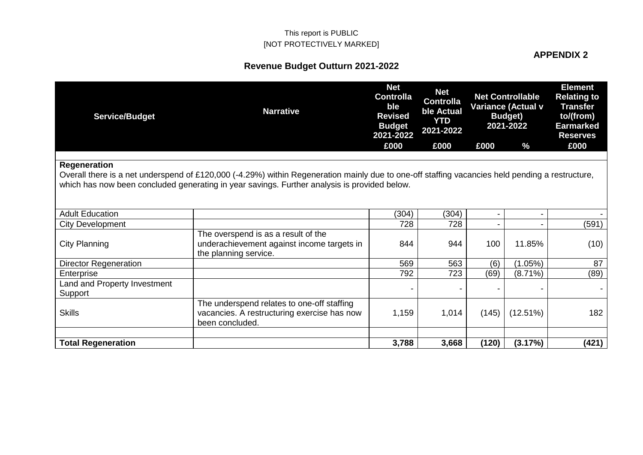# **APPENDIX 2**

| <b>Service/Budget</b>                   | <b>Narrative</b>                                                                                                                                                                                                                                | <b>Net</b><br><b>Controlla</b><br>ble<br><b>Revised</b><br><b>Budget</b><br>2021-2022 | <b>Net</b><br><b>Controlla</b><br>ble Actual<br><b>YTD</b><br>2021-2022 |       | <b>Net Controllable</b><br><b>Variance (Actual v</b><br><b>Budget</b> )<br>2021-2022 | <b>Element</b><br><b>Relating to</b><br><b>Transfer</b><br>to/(from)<br><b>Earmarked</b><br><b>Reserves</b> |
|-----------------------------------------|-------------------------------------------------------------------------------------------------------------------------------------------------------------------------------------------------------------------------------------------------|---------------------------------------------------------------------------------------|-------------------------------------------------------------------------|-------|--------------------------------------------------------------------------------------|-------------------------------------------------------------------------------------------------------------|
|                                         |                                                                                                                                                                                                                                                 | £000                                                                                  | £000                                                                    | £000  | $\frac{9}{6}$                                                                        | £000                                                                                                        |
| <b>Regeneration</b>                     | Overall there is a net underspend of £120,000 (-4.29%) within Regeneration mainly due to one-off staffing vacancies held pending a restructure,<br>which has now been concluded generating in year savings. Further analysis is provided below. |                                                                                       |                                                                         |       |                                                                                      |                                                                                                             |
| <b>Adult Education</b>                  |                                                                                                                                                                                                                                                 | (304)                                                                                 | (304)                                                                   |       |                                                                                      |                                                                                                             |
| <b>City Development</b>                 |                                                                                                                                                                                                                                                 | 728                                                                                   | 728                                                                     |       |                                                                                      | (591)                                                                                                       |
| City Planning                           | The overspend is as a result of the<br>underachievement against income targets in<br>the planning service.                                                                                                                                      | 844                                                                                   | 944                                                                     | 100   | 11.85%                                                                               | (10)                                                                                                        |
| <b>Director Regeneration</b>            |                                                                                                                                                                                                                                                 | 569                                                                                   | 563                                                                     | (6)   | $(1.05\%)$                                                                           | 87                                                                                                          |
| Enterprise                              |                                                                                                                                                                                                                                                 | 792                                                                                   | 723                                                                     | (69)  | $(8.71\%)$                                                                           | (89)                                                                                                        |
| Land and Property Investment<br>Support |                                                                                                                                                                                                                                                 |                                                                                       |                                                                         |       |                                                                                      |                                                                                                             |
| <b>Skills</b>                           | The underspend relates to one-off staffing<br>vacancies. A restructuring exercise has now<br>been concluded.                                                                                                                                    | 1,159                                                                                 | 1,014                                                                   | (145) | $(12.51\%)$                                                                          | 182                                                                                                         |
| <b>Total Regeneration</b>               |                                                                                                                                                                                                                                                 | 3,788                                                                                 | 3,668                                                                   | (120) | (3.17%)                                                                              | (421)                                                                                                       |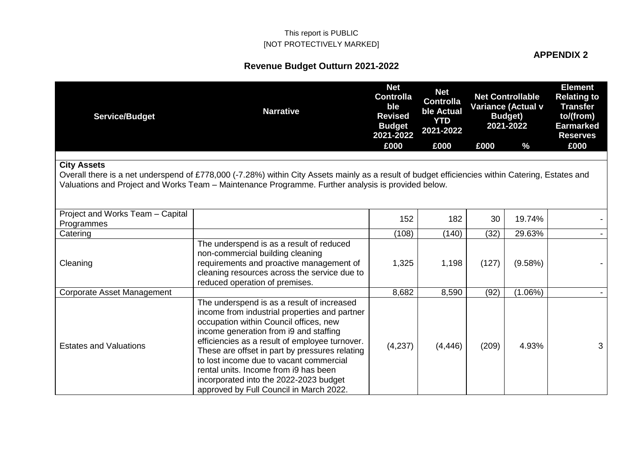### **APPENDIX 2**

| <b>Service/Budget</b>                                                                                                                                                                                                                                                        | <b>Narrative</b>                                                                                                                                                                                                                                                                                                                                                                                                                                             | <b>Net</b><br><b>Controlla</b><br>ble<br><b>Revised</b><br><b>Budget</b><br>2021-2022 | <b>Net</b><br><b>Controlla</b><br>ble Actual<br><b>YTD</b><br>2021-2022 |       | <b>Net Controllable</b><br>Variance (Actual v<br><b>Budget</b> )<br>2021-2022 | <b>Element</b><br><b>Relating to</b><br><b>Transfer</b><br>to/(from)<br><b>Earmarked</b><br><b>Reserves</b> |  |  |
|------------------------------------------------------------------------------------------------------------------------------------------------------------------------------------------------------------------------------------------------------------------------------|--------------------------------------------------------------------------------------------------------------------------------------------------------------------------------------------------------------------------------------------------------------------------------------------------------------------------------------------------------------------------------------------------------------------------------------------------------------|---------------------------------------------------------------------------------------|-------------------------------------------------------------------------|-------|-------------------------------------------------------------------------------|-------------------------------------------------------------------------------------------------------------|--|--|
|                                                                                                                                                                                                                                                                              |                                                                                                                                                                                                                                                                                                                                                                                                                                                              | £000                                                                                  | £000                                                                    | £000  | $\frac{0}{0}$                                                                 | £000                                                                                                        |  |  |
| <b>City Assets</b><br>Overall there is a net underspend of £778,000 (-7.28%) within City Assets mainly as a result of budget efficiencies within Catering, Estates and<br>Valuations and Project and Works Team – Maintenance Programme. Further analysis is provided below. |                                                                                                                                                                                                                                                                                                                                                                                                                                                              |                                                                                       |                                                                         |       |                                                                               |                                                                                                             |  |  |
| Project and Works Team - Capital<br>Programmes                                                                                                                                                                                                                               |                                                                                                                                                                                                                                                                                                                                                                                                                                                              | 152                                                                                   | 182                                                                     | 30    | 19.74%                                                                        |                                                                                                             |  |  |
| Catering                                                                                                                                                                                                                                                                     |                                                                                                                                                                                                                                                                                                                                                                                                                                                              | (108)                                                                                 | (140)                                                                   | (32)  | 29.63%                                                                        |                                                                                                             |  |  |
| Cleaning                                                                                                                                                                                                                                                                     | The underspend is as a result of reduced<br>non-commercial building cleaning<br>requirements and proactive management of<br>cleaning resources across the service due to<br>reduced operation of premises.                                                                                                                                                                                                                                                   | 1,325                                                                                 | 1,198                                                                   | (127) | (9.58%)                                                                       |                                                                                                             |  |  |
| Corporate Asset Management                                                                                                                                                                                                                                                   |                                                                                                                                                                                                                                                                                                                                                                                                                                                              | 8,682                                                                                 | 8,590                                                                   | (92)  | $(1.06\%)$                                                                    |                                                                                                             |  |  |
| <b>Estates and Valuations</b>                                                                                                                                                                                                                                                | The underspend is as a result of increased<br>income from industrial properties and partner<br>occupation within Council offices, new<br>income generation from i9 and staffing<br>efficiencies as a result of employee turnover.<br>These are offset in part by pressures relating<br>to lost income due to vacant commercial<br>rental units. Income from i9 has been<br>incorporated into the 2022-2023 budget<br>approved by Full Council in March 2022. | (4,237)                                                                               | (4, 446)                                                                | (209) | 4.93%                                                                         | 3                                                                                                           |  |  |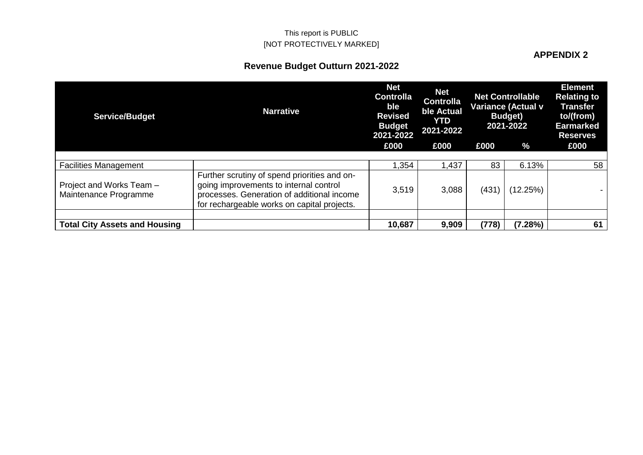### **APPENDIX 2**

| <b>Service/Budget</b>                             | <b>Narrative</b>                                                                                                                                                                    | <b>Net</b><br><b>Controlla</b><br>ble<br><b>Revised</b><br><b>Budget</b><br>2021-2022 | <b>Net</b><br><b>Controlla</b><br>ble Actual<br><b>YTD</b><br>2021-2022 |       | <b>Net Controllable</b><br><b>Variance (Actual v</b><br><b>Budget</b> )<br>2021-2022 | <b>Element</b><br><b>Relating to</b><br><b>Transfer</b><br>to/(from)<br><b>Earmarked</b><br><b>Reserves</b> |
|---------------------------------------------------|-------------------------------------------------------------------------------------------------------------------------------------------------------------------------------------|---------------------------------------------------------------------------------------|-------------------------------------------------------------------------|-------|--------------------------------------------------------------------------------------|-------------------------------------------------------------------------------------------------------------|
|                                                   |                                                                                                                                                                                     | £000                                                                                  | £000                                                                    | £000  | $\%$                                                                                 | £000                                                                                                        |
|                                                   |                                                                                                                                                                                     |                                                                                       |                                                                         |       |                                                                                      |                                                                                                             |
| <b>Facilities Management</b>                      |                                                                                                                                                                                     | 1,354                                                                                 | 1,437                                                                   | 83    | 6.13%                                                                                | 58                                                                                                          |
| Project and Works Team -<br>Maintenance Programme | Further scrutiny of spend priorities and on-<br>going improvements to internal control<br>processes. Generation of additional income<br>for rechargeable works on capital projects. | 3,519                                                                                 | 3,088                                                                   | (431) | (12.25%)                                                                             |                                                                                                             |
|                                                   |                                                                                                                                                                                     |                                                                                       |                                                                         |       |                                                                                      |                                                                                                             |
| <b>Total City Assets and Housing</b>              |                                                                                                                                                                                     | 10,687                                                                                | 9,909                                                                   | (778) | (7.28%)                                                                              | 61                                                                                                          |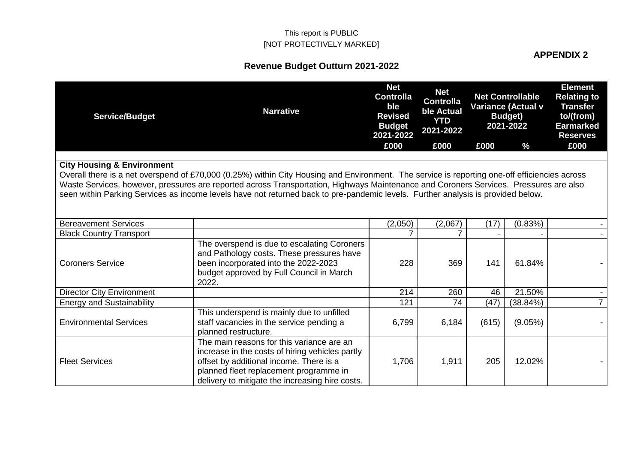### **APPENDIX 2**

| <b>Service/Budget</b>                 | <b>Narrative</b>                                                                                                                                                                                                                                                          | <b>Net</b><br><b>Controlla</b><br>ble<br><b>Revised</b><br><b>Budget</b><br>2021-2022 | <b>Net</b><br><b>Controlla</b><br>ble Actual<br><b>YTD</b><br>2021-2022 |       | <b>Net Controllable</b><br>Variance (Actual v<br><b>Budget</b> )<br>2021-2022 | <b>Element</b><br><b>Relating to</b><br><b>Transfer</b><br>to/(from)<br><b>Earmarked</b><br><b>Reserves</b> |
|---------------------------------------|---------------------------------------------------------------------------------------------------------------------------------------------------------------------------------------------------------------------------------------------------------------------------|---------------------------------------------------------------------------------------|-------------------------------------------------------------------------|-------|-------------------------------------------------------------------------------|-------------------------------------------------------------------------------------------------------------|
|                                       |                                                                                                                                                                                                                                                                           | £000                                                                                  | £000                                                                    | £000  | $\frac{0}{0}$                                                                 | £000                                                                                                        |
| <b>City Housing &amp; Environment</b> |                                                                                                                                                                                                                                                                           |                                                                                       |                                                                         |       |                                                                               |                                                                                                             |
|                                       | Overall there is a net overspend of £70,000 (0.25%) within City Housing and Environment. The service is reporting one-off efficiencies across                                                                                                                             |                                                                                       |                                                                         |       |                                                                               |                                                                                                             |
|                                       | Waste Services, however, pressures are reported across Transportation, Highways Maintenance and Coroners Services. Pressures are also<br>seen within Parking Services as income levels have not returned back to pre-pandemic levels. Further analysis is provided below. |                                                                                       |                                                                         |       |                                                                               |                                                                                                             |
| <b>Bereavement Services</b>           |                                                                                                                                                                                                                                                                           | (2,050)                                                                               | (2,067)                                                                 | (17)  | (0.83%)                                                                       |                                                                                                             |
| <b>Black Country Transport</b>        |                                                                                                                                                                                                                                                                           |                                                                                       |                                                                         |       |                                                                               |                                                                                                             |
| <b>Coroners Service</b>               | The overspend is due to escalating Coroners<br>and Pathology costs. These pressures have<br>been incorporated into the 2022-2023<br>budget approved by Full Council in March<br>2022.                                                                                     | 228                                                                                   | 369                                                                     | 141   | 61.84%                                                                        |                                                                                                             |
| <b>Director City Environment</b>      |                                                                                                                                                                                                                                                                           | 214                                                                                   | 260                                                                     | 46    | 21.50%                                                                        |                                                                                                             |
| <b>Energy and Sustainability</b>      |                                                                                                                                                                                                                                                                           | 121                                                                                   | 74                                                                      | (47)  | (38.84%)                                                                      | $\overline{7}$                                                                                              |
| <b>Environmental Services</b>         | This underspend is mainly due to unfilled<br>staff vacancies in the service pending a<br>planned restructure.                                                                                                                                                             | 6,799                                                                                 | 6,184                                                                   | (615) | (9.05%)                                                                       |                                                                                                             |
| <b>Fleet Services</b>                 | The main reasons for this variance are an<br>increase in the costs of hiring vehicles partly<br>offset by additional income. There is a<br>planned fleet replacement programme in<br>delivery to mitigate the increasing hire costs.                                      | 1,706                                                                                 | 1,911                                                                   | 205   | 12.02%                                                                        |                                                                                                             |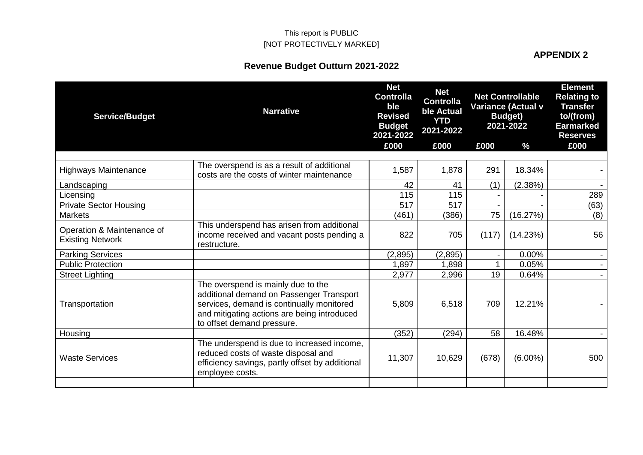#### **APPENDIX 2**

| <b>Service/Budget</b>                                 | <b>Narrative</b>                                                                                                                                                                                         | <b>Net</b><br><b>Controlla</b><br>ble<br><b>Revised</b><br><b>Budget</b><br>2021-2022 | <b>Net</b><br><b>Controlla</b><br>ble Actual<br><b>YTD</b><br>2021-2022 |                | <b>Net Controllable</b><br>Variance (Actual v<br><b>Budget</b> )<br>2021-2022 | <b>Element</b><br><b>Relating to</b><br><b>Transfer</b><br>to/(from)<br><b>Earmarked</b><br><b>Reserves</b> |
|-------------------------------------------------------|----------------------------------------------------------------------------------------------------------------------------------------------------------------------------------------------------------|---------------------------------------------------------------------------------------|-------------------------------------------------------------------------|----------------|-------------------------------------------------------------------------------|-------------------------------------------------------------------------------------------------------------|
|                                                       |                                                                                                                                                                                                          | £000                                                                                  | £000                                                                    | £000           | $\frac{0}{0}$                                                                 | £000                                                                                                        |
| <b>Highways Maintenance</b>                           | The overspend is as a result of additional<br>costs are the costs of winter maintenance                                                                                                                  | 1,587                                                                                 | 1,878                                                                   | 291            | 18.34%                                                                        |                                                                                                             |
| Landscaping                                           |                                                                                                                                                                                                          | 42                                                                                    | 41                                                                      | (1)            | (2.38%)                                                                       |                                                                                                             |
| Licensing                                             |                                                                                                                                                                                                          | 115                                                                                   | 115                                                                     |                |                                                                               | 289                                                                                                         |
| <b>Private Sector Housing</b>                         |                                                                                                                                                                                                          | 517                                                                                   | 517                                                                     |                |                                                                               | (63)                                                                                                        |
| <b>Markets</b>                                        |                                                                                                                                                                                                          | (461)                                                                                 | (386)                                                                   | 75             | (16.27%)                                                                      | (8)                                                                                                         |
| Operation & Maintenance of<br><b>Existing Network</b> | This underspend has arisen from additional<br>income received and vacant posts pending a<br>restructure.                                                                                                 | 822                                                                                   | 705                                                                     | (117)          | (14.23%)                                                                      | 56                                                                                                          |
| <b>Parking Services</b>                               |                                                                                                                                                                                                          | (2,895)                                                                               | (2,895)                                                                 | $\blacksquare$ | $0.00\%$                                                                      |                                                                                                             |
| <b>Public Protection</b>                              |                                                                                                                                                                                                          | 1,897                                                                                 | 1,898                                                                   | $\mathbf 1$    | 0.05%                                                                         |                                                                                                             |
| <b>Street Lighting</b>                                |                                                                                                                                                                                                          | 2,977                                                                                 | 2,996                                                                   | 19             | 0.64%                                                                         |                                                                                                             |
| Transportation                                        | The overspend is mainly due to the<br>additional demand on Passenger Transport<br>services, demand is continually monitored<br>and mitigating actions are being introduced<br>to offset demand pressure. | 5,809                                                                                 | 6,518                                                                   | 709            | 12.21%                                                                        |                                                                                                             |
| Housing                                               |                                                                                                                                                                                                          | (352)                                                                                 | (294)                                                                   | 58             | 16.48%                                                                        |                                                                                                             |
| <b>Waste Services</b>                                 | The underspend is due to increased income,<br>reduced costs of waste disposal and<br>efficiency savings, partly offset by additional<br>employee costs.                                                  | 11,307                                                                                | 10,629                                                                  | (678)          | $(6.00\%)$                                                                    | 500                                                                                                         |
|                                                       |                                                                                                                                                                                                          |                                                                                       |                                                                         |                |                                                                               |                                                                                                             |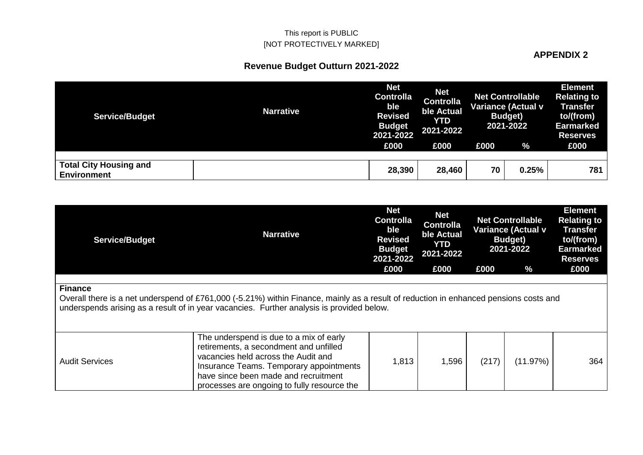#### **APPENDIX 2**

| <b>Service/Budget</b>                               | <b>Narrative</b> | <b>Net</b><br><b>Controlla</b><br>ble<br><b>Revised</b><br><b>Budget</b><br>2021-2022 | <b>Net</b><br><b>Controlla</b><br>ble Actual<br>YTD<br>2021-2022 |      | <b>Net Controllable</b><br><b>Variance (Actual v</b><br><b>Budget</b> )<br>2021-2022 | <b>Element</b><br><b>Relating to</b><br><b>Transfer</b><br>to/(from)<br><b>Earmarked</b><br><b>Reserves</b> |
|-----------------------------------------------------|------------------|---------------------------------------------------------------------------------------|------------------------------------------------------------------|------|--------------------------------------------------------------------------------------|-------------------------------------------------------------------------------------------------------------|
|                                                     |                  | £000                                                                                  | £000                                                             | £000 | $\frac{9}{6}$                                                                        | £000                                                                                                        |
|                                                     |                  |                                                                                       |                                                                  |      |                                                                                      |                                                                                                             |
| <b>Total City Housing and</b><br><b>Environment</b> |                  | 28,390                                                                                | 28,460                                                           | 70   | 0.25%                                                                                | 781                                                                                                         |

| <b>Service/Budget</b> | <b>Narrative</b>                                                                                                                                                                                                                                           | <b>Net</b><br><b>Controlla</b><br>ble<br><b>Revised</b><br><b>Budget</b><br>2021-2022 | <b>Net</b><br><b>Controlla</b><br>ble Actual<br><b>YTD</b><br>2021-2022 |       | <b>Net Controllable</b><br><b>Variance (Actual v</b><br><b>Budget</b> )<br>2021-2022 | <b>Element</b><br><b>Relating to</b><br>Transfer<br>to/(from)<br><b>Earmarked</b><br><b>Reserves</b> |
|-----------------------|------------------------------------------------------------------------------------------------------------------------------------------------------------------------------------------------------------------------------------------------------------|---------------------------------------------------------------------------------------|-------------------------------------------------------------------------|-------|--------------------------------------------------------------------------------------|------------------------------------------------------------------------------------------------------|
|                       |                                                                                                                                                                                                                                                            | £000                                                                                  | £000                                                                    | £000  | $\%$                                                                                 | £000                                                                                                 |
| <b>Finance</b>        | Overall there is a net underspend of £761,000 (-5.21%) within Finance, mainly as a result of reduction in enhanced pensions costs and<br>underspends arising as a result of in year vacancies. Further analysis is provided below.                         |                                                                                       |                                                                         |       |                                                                                      |                                                                                                      |
| <b>Audit Services</b> | The underspend is due to a mix of early<br>retirements, a secondment and unfilled<br>vacancies held across the Audit and<br>Insurance Teams. Temporary appointments<br>have since been made and recruitment<br>processes are ongoing to fully resource the | 1,813                                                                                 | 1,596                                                                   | (217) | (11.97%)                                                                             | 364                                                                                                  |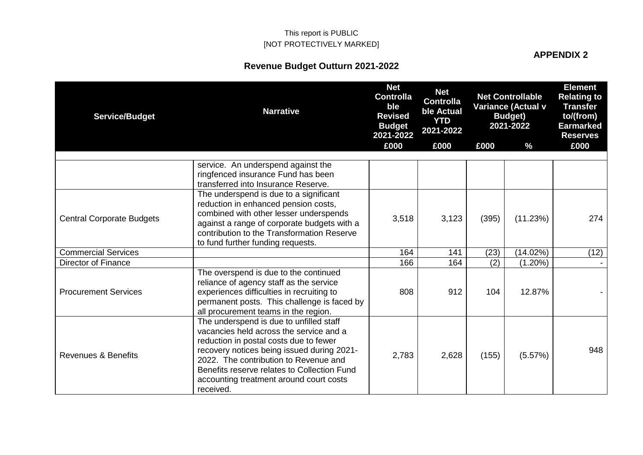**APPENDIX 2**

| <b>Service/Budget</b>            | <b>Narrative</b>                                                                                                                                                                                                                                                                                                           | <b>Net</b><br><b>Controlla</b><br>ble<br><b>Revised</b><br><b>Budget</b><br>2021-2022 | <b>Net</b><br><b>Controlla</b><br>ble Actual<br><b>YTD</b><br>2021-2022 |       | <b>Net Controllable</b><br>Variance (Actual v<br><b>Budget</b> )<br>2021-2022 | <b>Element</b><br><b>Relating to</b><br><b>Transfer</b><br>to/(from)<br>Earmarked<br><b>Reserves</b> |
|----------------------------------|----------------------------------------------------------------------------------------------------------------------------------------------------------------------------------------------------------------------------------------------------------------------------------------------------------------------------|---------------------------------------------------------------------------------------|-------------------------------------------------------------------------|-------|-------------------------------------------------------------------------------|------------------------------------------------------------------------------------------------------|
|                                  |                                                                                                                                                                                                                                                                                                                            | £000                                                                                  | £000                                                                    | £000  | $\%$                                                                          | £000                                                                                                 |
|                                  | service. An underspend against the<br>ringfenced insurance Fund has been<br>transferred into Insurance Reserve.                                                                                                                                                                                                            |                                                                                       |                                                                         |       |                                                                               |                                                                                                      |
| <b>Central Corporate Budgets</b> | The underspend is due to a significant<br>reduction in enhanced pension costs,<br>combined with other lesser underspends<br>against a range of corporate budgets with a<br>contribution to the Transformation Reserve<br>to fund further funding requests.                                                                 | 3,518                                                                                 | 3,123                                                                   | (395) | (11.23%)                                                                      | 274                                                                                                  |
| <b>Commercial Services</b>       |                                                                                                                                                                                                                                                                                                                            | 164                                                                                   | 141                                                                     | (23)  | (14.02%)                                                                      | (12)                                                                                                 |
| <b>Director of Finance</b>       |                                                                                                                                                                                                                                                                                                                            | 166                                                                                   | 164                                                                     | (2)   | $(1.20\%)$                                                                    |                                                                                                      |
| <b>Procurement Services</b>      | The overspend is due to the continued<br>reliance of agency staff as the service<br>experiences difficulties in recruiting to<br>permanent posts. This challenge is faced by<br>all procurement teams in the region.                                                                                                       | 808                                                                                   | 912                                                                     | 104   | 12.87%                                                                        |                                                                                                      |
| Revenues & Benefits              | The underspend is due to unfilled staff<br>vacancies held across the service and a<br>reduction in postal costs due to fewer<br>recovery notices being issued during 2021-<br>2022. The contribution to Revenue and<br>Benefits reserve relates to Collection Fund<br>accounting treatment around court costs<br>received. | 2,783                                                                                 | 2,628                                                                   | (155) | (5.57%)                                                                       | 948                                                                                                  |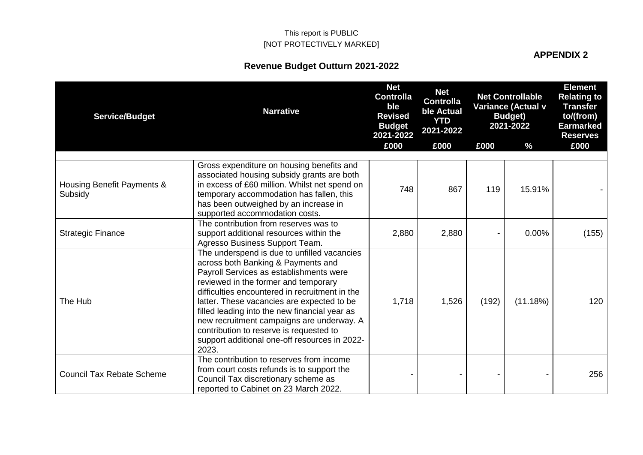#### **APPENDIX 2**

| <b>Service/Budget</b>                 | <b>Narrative</b>                                                                                                                                                                                                                                                                                                                                                                                                                                                        | <b>Net</b><br><b>Controlla</b><br>ble<br><b>Revised</b><br><b>Budget</b><br>2021-2022 | <b>Net</b><br><b>Controlla</b><br>ble Actual<br><b>YTD</b><br>2021-2022 |       | <b>Net Controllable</b><br><b>Variance (Actual v</b><br><b>Budget)</b><br>2021-2022 | <b>Element</b><br><b>Relating to</b><br><b>Transfer</b><br>to/(from)<br><b>Earmarked</b><br><b>Reserves</b> |
|---------------------------------------|-------------------------------------------------------------------------------------------------------------------------------------------------------------------------------------------------------------------------------------------------------------------------------------------------------------------------------------------------------------------------------------------------------------------------------------------------------------------------|---------------------------------------------------------------------------------------|-------------------------------------------------------------------------|-------|-------------------------------------------------------------------------------------|-------------------------------------------------------------------------------------------------------------|
|                                       |                                                                                                                                                                                                                                                                                                                                                                                                                                                                         | £000                                                                                  | £000                                                                    | £000  | %                                                                                   | £000                                                                                                        |
| Housing Benefit Payments &<br>Subsidy | Gross expenditure on housing benefits and<br>associated housing subsidy grants are both<br>in excess of £60 million. Whilst net spend on<br>temporary accommodation has fallen, this<br>has been outweighed by an increase in<br>supported accommodation costs.                                                                                                                                                                                                         | 748                                                                                   | 867                                                                     | 119   | 15.91%                                                                              |                                                                                                             |
| <b>Strategic Finance</b>              | The contribution from reserves was to<br>support additional resources within the<br>Agresso Business Support Team.                                                                                                                                                                                                                                                                                                                                                      | 2,880                                                                                 | 2,880                                                                   |       | 0.00%                                                                               | (155)                                                                                                       |
| The Hub                               | The underspend is due to unfilled vacancies<br>across both Banking & Payments and<br>Payroll Services as establishments were<br>reviewed in the former and temporary<br>difficulties encountered in recruitment in the<br>latter. These vacancies are expected to be<br>filled leading into the new financial year as<br>new recruitment campaigns are underway. A<br>contribution to reserve is requested to<br>support additional one-off resources in 2022-<br>2023. | 1,718                                                                                 | 1,526                                                                   | (192) | (11.18%)                                                                            | 120                                                                                                         |
| <b>Council Tax Rebate Scheme</b>      | The contribution to reserves from income<br>from court costs refunds is to support the<br>Council Tax discretionary scheme as<br>reported to Cabinet on 23 March 2022.                                                                                                                                                                                                                                                                                                  |                                                                                       |                                                                         |       |                                                                                     | 256                                                                                                         |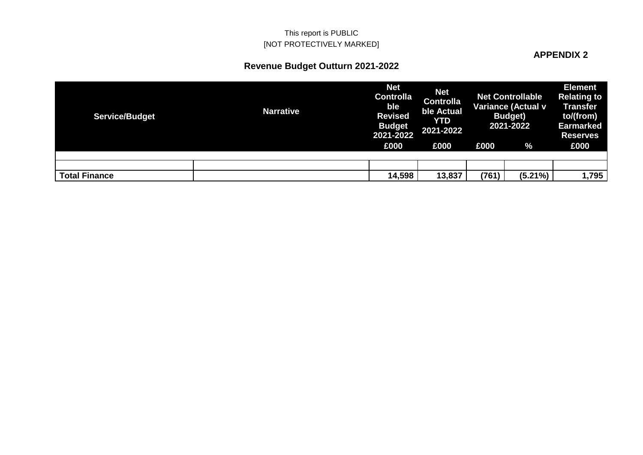### **APPENDIX 2**

| <b>Service/Budget</b> | <b>Narrative</b> | <b>Net</b><br><b>Controlla</b><br>ble<br><b>Revised</b><br><b>Budget</b><br>2021-2022 | <b>Net</b><br><b>Controlla</b><br>ble Actual<br><b>YTD</b><br>2021-2022 |       | <b>Net Controllable</b><br><b>Variance (Actual v</b><br><b>Budget</b> )<br>2021-2022 | <b>Element</b><br><b>Relating to</b><br><b>Transfer</b><br>to/(from)<br><b>Earmarked</b><br><b>Reserves</b> |
|-----------------------|------------------|---------------------------------------------------------------------------------------|-------------------------------------------------------------------------|-------|--------------------------------------------------------------------------------------|-------------------------------------------------------------------------------------------------------------|
|                       |                  | £000                                                                                  | £000                                                                    | £000  | %                                                                                    | £000                                                                                                        |
|                       |                  |                                                                                       |                                                                         |       |                                                                                      |                                                                                                             |
|                       |                  |                                                                                       |                                                                         |       |                                                                                      |                                                                                                             |
| <b>Total Finance</b>  |                  | 14,598                                                                                | 13,837                                                                  | (761) | $(5.21\%)$                                                                           | 1,795                                                                                                       |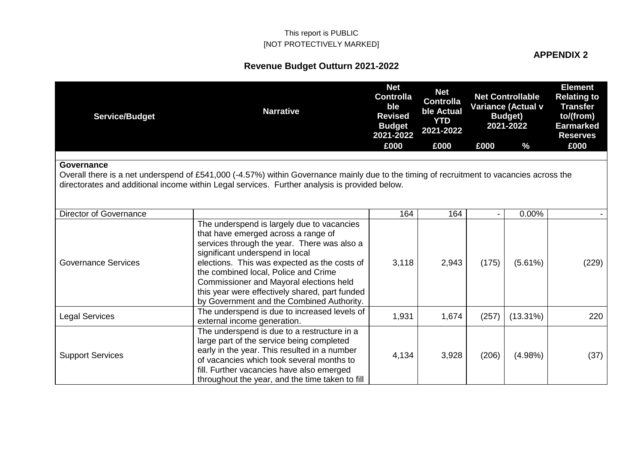# **APPENDIX 2**

| <b>Service/Budget</b>                                                                                                                                                                                                                                   | <b>Narrative</b>                                                                                                                                                                                                                                                                                                                                                                                      | <b>Net</b><br><b>Controlla</b><br>ble<br><b>Revised</b><br><b>Budget</b><br>2021-2022 | <b>Net</b><br><b>Controlla</b><br>ble Actual<br><b>YTD</b><br>2021-2022 |       | <b>Net Controllable</b><br>Variance (Actual v<br><b>Budget</b> )<br>2021-2022 | <b>Element</b><br><b>Relating to</b><br><b>Transfer</b><br>to/(from)<br><b>Earmarked</b><br><b>Reserves</b> |  |  |  |
|---------------------------------------------------------------------------------------------------------------------------------------------------------------------------------------------------------------------------------------------------------|-------------------------------------------------------------------------------------------------------------------------------------------------------------------------------------------------------------------------------------------------------------------------------------------------------------------------------------------------------------------------------------------------------|---------------------------------------------------------------------------------------|-------------------------------------------------------------------------|-------|-------------------------------------------------------------------------------|-------------------------------------------------------------------------------------------------------------|--|--|--|
|                                                                                                                                                                                                                                                         |                                                                                                                                                                                                                                                                                                                                                                                                       | £000                                                                                  | £000                                                                    | £000  | $\frac{0}{0}$                                                                 | £000                                                                                                        |  |  |  |
| Governance<br>Overall there is a net underspend of £541,000 (-4.57%) within Governance mainly due to the timing of recruitment to vacancies across the<br>directorates and additional income within Legal services. Further analysis is provided below. |                                                                                                                                                                                                                                                                                                                                                                                                       |                                                                                       |                                                                         |       |                                                                               |                                                                                                             |  |  |  |
| Director of Governance                                                                                                                                                                                                                                  |                                                                                                                                                                                                                                                                                                                                                                                                       | 164                                                                                   | 164                                                                     |       | $0.00\%$                                                                      |                                                                                                             |  |  |  |
| <b>Governance Services</b>                                                                                                                                                                                                                              | The underspend is largely due to vacancies<br>that have emerged across a range of<br>services through the year. There was also a<br>significant underspend in local<br>elections. This was expected as the costs of<br>the combined local, Police and Crime<br>Commissioner and Mayoral elections held<br>this year were effectively shared, part funded<br>by Government and the Combined Authority. | 3,118                                                                                 | 2,943                                                                   | (175) | (5.61%)                                                                       | (229)                                                                                                       |  |  |  |
| <b>Legal Services</b>                                                                                                                                                                                                                                   | The underspend is due to increased levels of<br>external income generation.                                                                                                                                                                                                                                                                                                                           | 1,931                                                                                 | 1,674                                                                   | (257) | $(13.31\%)$                                                                   | 220                                                                                                         |  |  |  |
| <b>Support Services</b>                                                                                                                                                                                                                                 | The underspend is due to a restructure in a<br>large part of the service being completed<br>early in the year. This resulted in a number<br>of vacancies which took several months to<br>fill. Further vacancies have also emerged<br>throughout the year, and the time taken to fill                                                                                                                 | 4,134                                                                                 | 3,928                                                                   | (206) | $(4.98\%)$                                                                    | (37)                                                                                                        |  |  |  |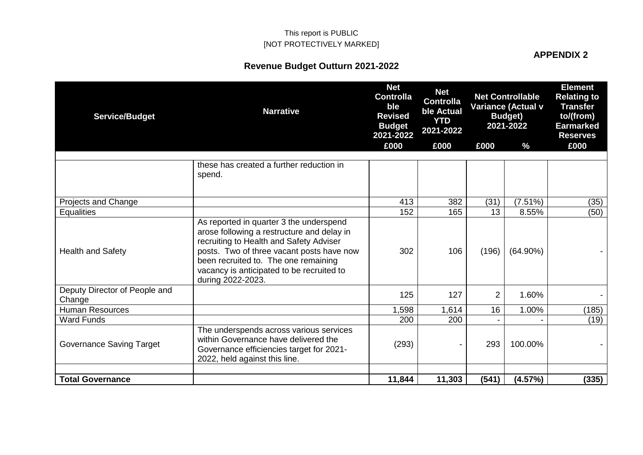#### **APPENDIX 2**

| <b>Service/Budget</b>                   | <b>Narrative</b>                                                                                                                                                                                                                                                                        | <b>Net</b><br><b>Controlla</b><br>ble<br><b>Revised</b><br><b>Budget</b><br>2021-2022 | <b>Net</b><br><b>Controlla</b><br>ble Actual<br><b>YTD</b><br>2021-2022 |                | <b>Net Controllable</b><br><b>Variance (Actual v</b><br><b>Budget</b> )<br>2021-2022<br>$\frac{0}{0}$ | <b>Element</b><br><b>Relating to</b><br><b>Transfer</b><br>to/(from)<br><b>Earmarked</b><br><b>Reserves</b> |
|-----------------------------------------|-----------------------------------------------------------------------------------------------------------------------------------------------------------------------------------------------------------------------------------------------------------------------------------------|---------------------------------------------------------------------------------------|-------------------------------------------------------------------------|----------------|-------------------------------------------------------------------------------------------------------|-------------------------------------------------------------------------------------------------------------|
|                                         |                                                                                                                                                                                                                                                                                         | £000                                                                                  | £000                                                                    | £000           |                                                                                                       | £000                                                                                                        |
|                                         | these has created a further reduction in<br>spend.                                                                                                                                                                                                                                      |                                                                                       |                                                                         |                |                                                                                                       |                                                                                                             |
| Projects and Change                     |                                                                                                                                                                                                                                                                                         | 413                                                                                   | 382                                                                     | (31)           | (7.51%)                                                                                               | (35)                                                                                                        |
| <b>Equalities</b>                       |                                                                                                                                                                                                                                                                                         | 152                                                                                   | 165                                                                     | 13             | 8.55%                                                                                                 | (50)                                                                                                        |
| <b>Health and Safety</b>                | As reported in quarter 3 the underspend<br>arose following a restructure and delay in<br>recruiting to Health and Safety Adviser<br>posts. Two of three vacant posts have now<br>been recruited to. The one remaining<br>vacancy is anticipated to be recruited to<br>during 2022-2023. | 302                                                                                   | 106                                                                     | (196)          | $(64.90\%)$                                                                                           |                                                                                                             |
| Deputy Director of People and<br>Change |                                                                                                                                                                                                                                                                                         | 125                                                                                   | 127                                                                     | $\overline{2}$ | 1.60%                                                                                                 |                                                                                                             |
| <b>Human Resources</b>                  |                                                                                                                                                                                                                                                                                         | 1,598                                                                                 | 1,614                                                                   | 16             | 1.00%                                                                                                 | (185)                                                                                                       |
| <b>Ward Funds</b>                       |                                                                                                                                                                                                                                                                                         | 200                                                                                   | 200                                                                     |                |                                                                                                       | (19)                                                                                                        |
| <b>Governance Saving Target</b>         | The underspends across various services<br>within Governance have delivered the<br>Governance efficiencies target for 2021-<br>2022, held against this line.                                                                                                                            | (293)                                                                                 |                                                                         | 293            | 100.00%                                                                                               |                                                                                                             |
| <b>Total Governance</b>                 |                                                                                                                                                                                                                                                                                         | 11,844                                                                                | 11,303                                                                  | (541)          | (4.57%)                                                                                               | (335)                                                                                                       |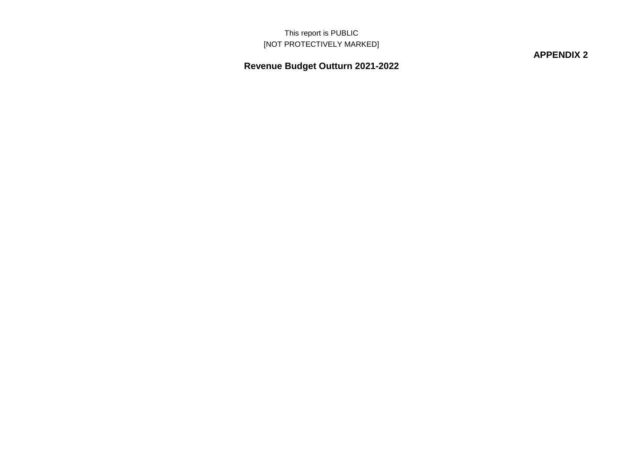**APPENDIX 2**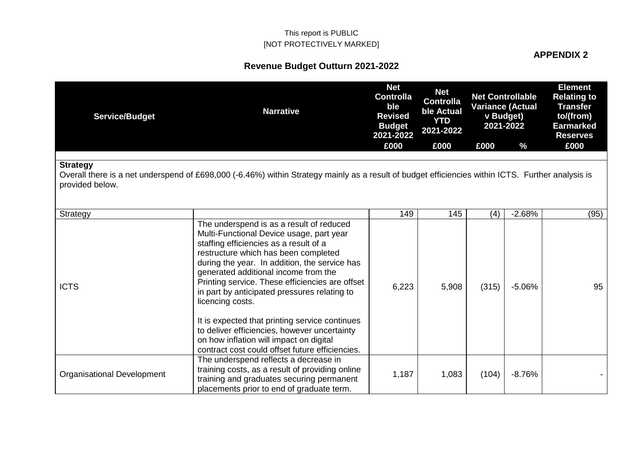### **APPENDIX 2**

| <b>Service/Budget</b>              | <b>Narrative</b>                                                                                                                                                                                                                                                                                                                                                                                                                                                                                                                                                                       | <b>Net</b><br><b>Controlla</b><br>ble<br><b>Revised</b><br><b>Budget</b><br>2021-2022 | <b>Net</b><br><b>Controlla</b><br>ble Actual<br><b>YTD</b><br>2021-2022 |       | <b>Net Controllable</b><br><b>Variance (Actual</b><br>v Budget)<br>2021-2022 | <b>Element</b><br><b>Relating to</b><br><b>Transfer</b><br>to/(from)<br><b>Earmarked</b><br><b>Reserves</b> |
|------------------------------------|----------------------------------------------------------------------------------------------------------------------------------------------------------------------------------------------------------------------------------------------------------------------------------------------------------------------------------------------------------------------------------------------------------------------------------------------------------------------------------------------------------------------------------------------------------------------------------------|---------------------------------------------------------------------------------------|-------------------------------------------------------------------------|-------|------------------------------------------------------------------------------|-------------------------------------------------------------------------------------------------------------|
|                                    |                                                                                                                                                                                                                                                                                                                                                                                                                                                                                                                                                                                        | £000                                                                                  | £000                                                                    | £000  | $\%$                                                                         | £000                                                                                                        |
| <b>Strategy</b><br>provided below. | Overall there is a net underspend of £698,000 (-6.46%) within Strategy mainly as a result of budget efficiencies within ICTS. Further analysis is                                                                                                                                                                                                                                                                                                                                                                                                                                      |                                                                                       |                                                                         |       |                                                                              |                                                                                                             |
| Strategy                           |                                                                                                                                                                                                                                                                                                                                                                                                                                                                                                                                                                                        | 149                                                                                   | 145                                                                     | (4)   | $-2.68%$                                                                     | (95)                                                                                                        |
| <b>ICTS</b>                        | The underspend is as a result of reduced<br>Multi-Functional Device usage, part year<br>staffing efficiencies as a result of a<br>restructure which has been completed<br>during the year. In addition, the service has<br>generated additional income from the<br>Printing service. These efficiencies are offset<br>in part by anticipated pressures relating to<br>licencing costs.<br>It is expected that printing service continues<br>to deliver efficiencies, however uncertainty<br>on how inflation will impact on digital<br>contract cost could offset future efficiencies. | 6,223                                                                                 | 5,908                                                                   | (315) | $-5.06%$                                                                     | 95                                                                                                          |
| <b>Organisational Development</b>  | The underspend reflects a decrease in<br>training costs, as a result of providing online<br>training and graduates securing permanent<br>placements prior to end of graduate term.                                                                                                                                                                                                                                                                                                                                                                                                     | 1,187                                                                                 | 1,083                                                                   | (104) | $-8.76%$                                                                     |                                                                                                             |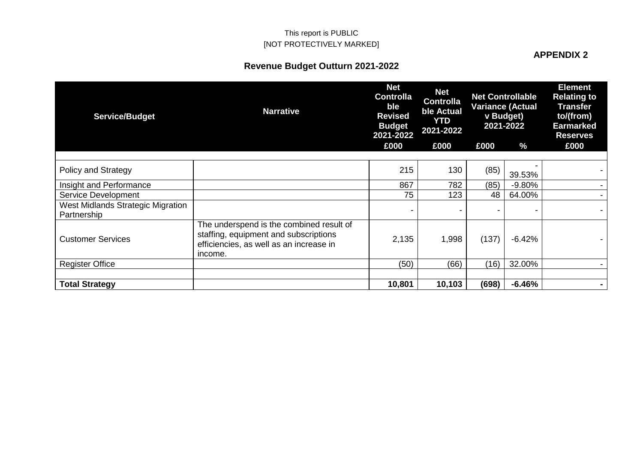# **APPENDIX 2**

| <b>Service/Budget</b>                            | <b>Narrative</b>                                                                                                                        | <b>Net</b><br><b>Controlla</b><br>ble<br><b>Revised</b><br><b>Budget</b><br>2021-2022 | <b>Net</b><br><b>Controlla</b><br>ble Actual<br>YTD<br>2021-2022 |       | <b>Net Controllable</b><br><b>Variance (Actual</b><br>v Budget)<br>2021-2022 | <b>Element</b><br><b>Relating to</b><br><b>Transfer</b><br>to/(from)<br><b>Earmarked</b><br><b>Reserves</b> |
|--------------------------------------------------|-----------------------------------------------------------------------------------------------------------------------------------------|---------------------------------------------------------------------------------------|------------------------------------------------------------------|-------|------------------------------------------------------------------------------|-------------------------------------------------------------------------------------------------------------|
|                                                  |                                                                                                                                         | £000                                                                                  | £000                                                             | £000  | %                                                                            | £000                                                                                                        |
| Policy and Strategy                              |                                                                                                                                         | 215                                                                                   | 130                                                              | (85)  | 39.53%                                                                       |                                                                                                             |
| Insight and Performance                          |                                                                                                                                         | 867                                                                                   | 782                                                              | (85)  | $-9.80%$                                                                     |                                                                                                             |
| Service Development                              |                                                                                                                                         | 75                                                                                    | 123                                                              | 48    | 64.00%                                                                       |                                                                                                             |
| West Midlands Strategic Migration<br>Partnership |                                                                                                                                         |                                                                                       |                                                                  |       |                                                                              |                                                                                                             |
| <b>Customer Services</b>                         | The underspend is the combined result of<br>staffing, equipment and subscriptions<br>efficiencies, as well as an increase in<br>income. | 2,135                                                                                 | 1,998                                                            | (137) | $-6.42%$                                                                     |                                                                                                             |
| <b>Register Office</b>                           |                                                                                                                                         | (50)                                                                                  | (66)                                                             | (16)  | 32.00%                                                                       |                                                                                                             |
|                                                  |                                                                                                                                         |                                                                                       |                                                                  |       |                                                                              |                                                                                                             |
| <b>Total Strategy</b>                            |                                                                                                                                         | 10,801                                                                                | 10,103                                                           | (698) | $-6.46%$                                                                     | $\blacksquare$                                                                                              |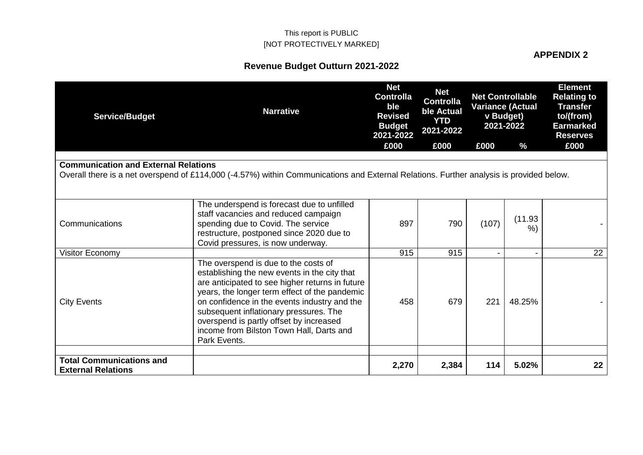#### **APPENDIX 2**

| <b>Service/Budget</b>                                        | <b>Narrative</b>                                                                                                                                                                                                                                                                                                                                                                          | <b>Net</b><br><b>Controlla</b><br>ble<br><b>Revised</b><br><b>Budget</b><br>2021-2022<br>£000 | <b>Net</b><br><b>Controlla</b><br>ble Actual<br><b>YTD</b><br>2021-2022<br>£000 | £000  | <b>Net Controllable</b><br><b>Variance (Actual</b><br>v Budget)<br>2021-2022<br>$\frac{0}{6}$ | <b>Element</b><br><b>Relating to</b><br><b>Transfer</b><br>to/(from)<br><b>Earmarked</b><br><b>Reserves</b><br>£000 |
|--------------------------------------------------------------|-------------------------------------------------------------------------------------------------------------------------------------------------------------------------------------------------------------------------------------------------------------------------------------------------------------------------------------------------------------------------------------------|-----------------------------------------------------------------------------------------------|---------------------------------------------------------------------------------|-------|-----------------------------------------------------------------------------------------------|---------------------------------------------------------------------------------------------------------------------|
|                                                              |                                                                                                                                                                                                                                                                                                                                                                                           |                                                                                               |                                                                                 |       |                                                                                               |                                                                                                                     |
| <b>Communication and External Relations</b>                  | Overall there is a net overspend of £114,000 (-4.57%) within Communications and External Relations. Further analysis is provided below.                                                                                                                                                                                                                                                   |                                                                                               |                                                                                 |       |                                                                                               |                                                                                                                     |
| Communications                                               | The underspend is forecast due to unfilled<br>staff vacancies and reduced campaign<br>spending due to Covid. The service<br>restructure, postponed since 2020 due to<br>Covid pressures, is now underway.                                                                                                                                                                                 | 897                                                                                           | 790                                                                             | (107) | (11.93)<br>%                                                                                  |                                                                                                                     |
| Visitor Economy                                              |                                                                                                                                                                                                                                                                                                                                                                                           | 915                                                                                           | 915                                                                             |       |                                                                                               | 22                                                                                                                  |
| <b>City Events</b>                                           | The overspend is due to the costs of<br>establishing the new events in the city that<br>are anticipated to see higher returns in future<br>years, the longer term effect of the pandemic<br>on confidence in the events industry and the<br>subsequent inflationary pressures. The<br>overspend is partly offset by increased<br>income from Bilston Town Hall, Darts and<br>Park Events. | 458                                                                                           | 679                                                                             | 221   | 48.25%                                                                                        |                                                                                                                     |
| <b>Total Communications and</b><br><b>External Relations</b> |                                                                                                                                                                                                                                                                                                                                                                                           | 2,270                                                                                         | 2,384                                                                           | 114   | 5.02%                                                                                         | 22                                                                                                                  |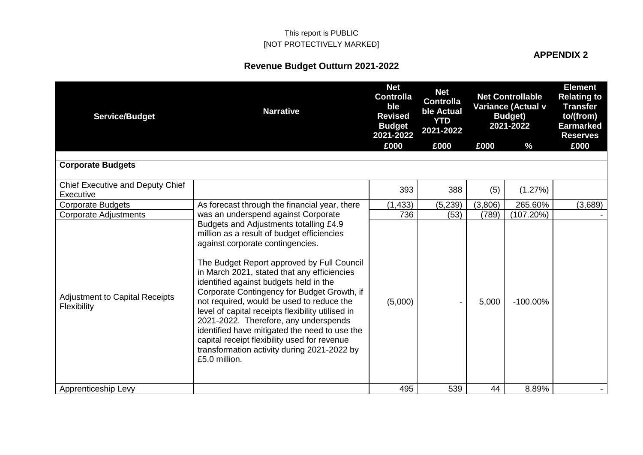#### **APPENDIX 2**

| <b>Service/Budget</b>                                | <b>Narrative</b>                                                                                                                                                                                                                                                                                                                                                                                                                                                                                                                                                                                                           | <b>Net</b><br><b>Controlla</b><br>ble<br><b>Revised</b><br><b>Budget</b><br>2021-2022 | <b>Net</b><br><b>Controlla</b><br>ble Actual<br><b>YTD</b><br>2021-2022 | <b>Net Controllable</b><br><b>Variance (Actual v</b><br><b>Budget</b> )<br>2021-2022 |             | <b>Element</b><br><b>Relating to</b><br><b>Transfer</b><br>to/(from)<br><b>Earmarked</b><br><b>Reserves</b> |
|------------------------------------------------------|----------------------------------------------------------------------------------------------------------------------------------------------------------------------------------------------------------------------------------------------------------------------------------------------------------------------------------------------------------------------------------------------------------------------------------------------------------------------------------------------------------------------------------------------------------------------------------------------------------------------------|---------------------------------------------------------------------------------------|-------------------------------------------------------------------------|--------------------------------------------------------------------------------------|-------------|-------------------------------------------------------------------------------------------------------------|
|                                                      |                                                                                                                                                                                                                                                                                                                                                                                                                                                                                                                                                                                                                            | £000                                                                                  | £000                                                                    | £000                                                                                 | %           | £000                                                                                                        |
| <b>Corporate Budgets</b>                             |                                                                                                                                                                                                                                                                                                                                                                                                                                                                                                                                                                                                                            |                                                                                       |                                                                         |                                                                                      |             |                                                                                                             |
| Chief Executive and Deputy Chief<br>Executive        |                                                                                                                                                                                                                                                                                                                                                                                                                                                                                                                                                                                                                            | 393                                                                                   | 388                                                                     | (5)                                                                                  | (1.27%)     |                                                                                                             |
| <b>Corporate Budgets</b>                             | As forecast through the financial year, there                                                                                                                                                                                                                                                                                                                                                                                                                                                                                                                                                                              | (1, 433)                                                                              | (5,239)                                                                 | (3,806)                                                                              | 265.60%     | (3,689)                                                                                                     |
| <b>Corporate Adjustments</b>                         | was an underspend against Corporate                                                                                                                                                                                                                                                                                                                                                                                                                                                                                                                                                                                        | 736                                                                                   | (53)                                                                    | (789)                                                                                | (107.20%)   |                                                                                                             |
| <b>Adjustment to Capital Receipts</b><br>Flexibility | Budgets and Adjustments totalling £4.9<br>million as a result of budget efficiencies<br>against corporate contingencies.<br>The Budget Report approved by Full Council<br>in March 2021, stated that any efficiencies<br>identified against budgets held in the<br>Corporate Contingency for Budget Growth, if<br>not required, would be used to reduce the<br>level of capital receipts flexibility utilised in<br>2021-2022. Therefore, any underspends<br>identified have mitigated the need to use the<br>capital receipt flexibility used for revenue<br>transformation activity during 2021-2022 by<br>£5.0 million. | (5,000)                                                                               |                                                                         | 5,000                                                                                | $-100.00\%$ |                                                                                                             |
| Apprenticeship Levy                                  |                                                                                                                                                                                                                                                                                                                                                                                                                                                                                                                                                                                                                            | 495                                                                                   | 539                                                                     | 44                                                                                   | 8.89%       |                                                                                                             |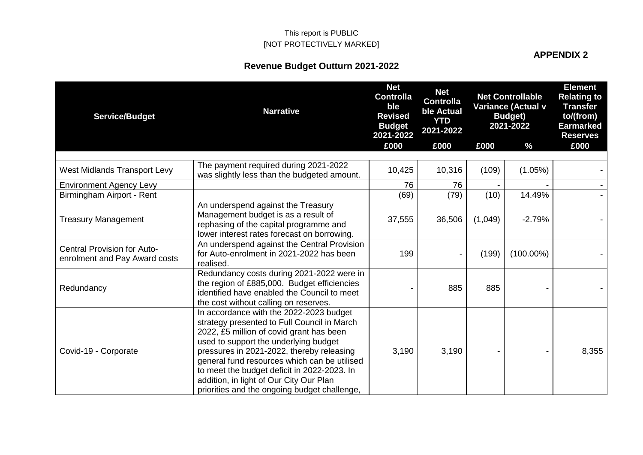**APPENDIX 2**

| <b>Service/Budget</b>                                               | <b>Narrative</b>                                                                                                                                                                                                                                                                                                                                                                                                   | <b>Net</b><br><b>Controlla</b><br>ble<br><b>Revised</b><br><b>Budget</b><br>2021-2022 | <b>Net</b><br><b>Controlla</b><br>ble Actual<br><b>YTD</b><br>2021-2022 | <b>Net Controllable</b><br>Variance (Actual v<br><b>Budget</b> )<br>2021-2022 |               | <b>Element</b><br><b>Relating to</b><br><b>Transfer</b><br>to/(from)<br><b>Earmarked</b><br><b>Reserves</b> |
|---------------------------------------------------------------------|--------------------------------------------------------------------------------------------------------------------------------------------------------------------------------------------------------------------------------------------------------------------------------------------------------------------------------------------------------------------------------------------------------------------|---------------------------------------------------------------------------------------|-------------------------------------------------------------------------|-------------------------------------------------------------------------------|---------------|-------------------------------------------------------------------------------------------------------------|
|                                                                     |                                                                                                                                                                                                                                                                                                                                                                                                                    | £000                                                                                  | £000                                                                    | £000                                                                          | $\frac{9}{6}$ | £000                                                                                                        |
| <b>West Midlands Transport Levy</b>                                 | The payment required during 2021-2022<br>was slightly less than the budgeted amount.                                                                                                                                                                                                                                                                                                                               | 10,425                                                                                | 10,316                                                                  | (109)                                                                         | $(1.05\%)$    |                                                                                                             |
| <b>Environment Agency Levy</b>                                      |                                                                                                                                                                                                                                                                                                                                                                                                                    | 76                                                                                    | 76                                                                      |                                                                               |               |                                                                                                             |
| Birmingham Airport - Rent                                           |                                                                                                                                                                                                                                                                                                                                                                                                                    | (69)                                                                                  | (79)                                                                    | (10)                                                                          | 14.49%        |                                                                                                             |
| <b>Treasury Management</b>                                          | An underspend against the Treasury<br>Management budget is as a result of<br>rephasing of the capital programme and<br>lower interest rates forecast on borrowing.                                                                                                                                                                                                                                                 | 37,555                                                                                | 36,506                                                                  | (1,049)                                                                       | $-2.79%$      |                                                                                                             |
| <b>Central Provision for Auto-</b><br>enrolment and Pay Award costs | An underspend against the Central Provision<br>for Auto-enrolment in 2021-2022 has been<br>realised.                                                                                                                                                                                                                                                                                                               | 199                                                                                   |                                                                         | (199)                                                                         | $(100.00\%)$  |                                                                                                             |
| Redundancy                                                          | Redundancy costs during 2021-2022 were in<br>the region of £885,000. Budget efficiencies<br>identified have enabled the Council to meet<br>the cost without calling on reserves.                                                                                                                                                                                                                                   |                                                                                       | 885                                                                     | 885                                                                           |               |                                                                                                             |
| Covid-19 - Corporate                                                | In accordance with the 2022-2023 budget<br>strategy presented to Full Council in March<br>2022, £5 million of covid grant has been<br>used to support the underlying budget<br>pressures in 2021-2022, thereby releasing<br>general fund resources which can be utilised<br>to meet the budget deficit in 2022-2023. In<br>addition, in light of Our City Our Plan<br>priorities and the ongoing budget challenge, | 3,190                                                                                 | 3,190                                                                   |                                                                               |               | 8,355                                                                                                       |